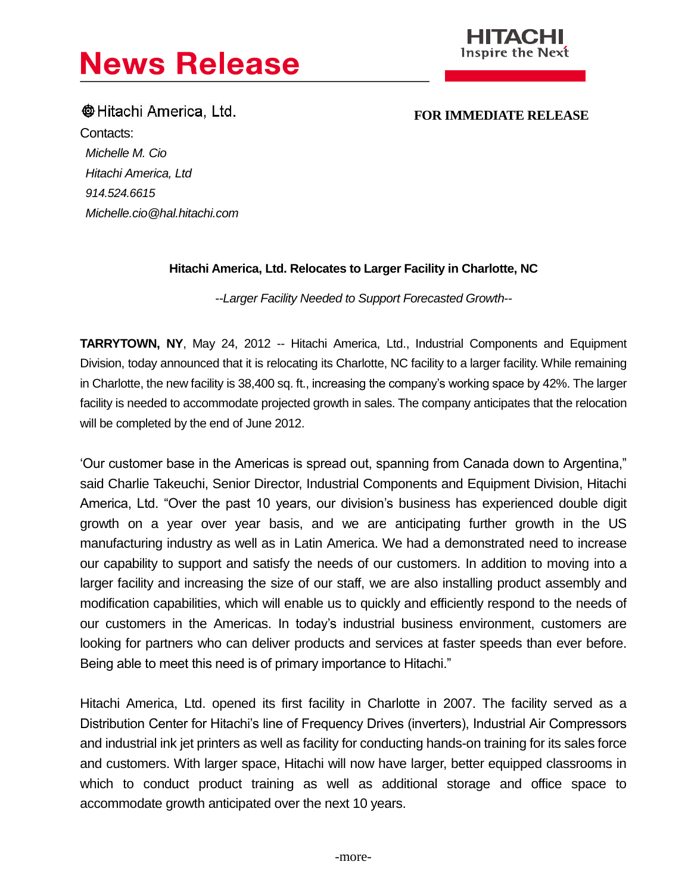# **News Release**



**Communist Example 1 FOR IMMEDIATE RELEASE** Contacts: *Michelle M. Cio Hitachi America, Ltd 914.524.6615 Michelle.cio@hal.hitachi.com*

# **Hitachi America, Ltd. Relocates to Larger Facility in Charlotte, NC**

*--Larger Facility Needed to Support Forecasted Growth--*

**TARRYTOWN, NY**, May 24, 2012 -- Hitachi America, Ltd., Industrial Components and Equipment Division, today announced that it is relocating its Charlotte, NC facility to a larger facility. While remaining in Charlotte, the new facility is 38,400 sq. ft., increasing the company's working space by 42%. The larger facility is needed to accommodate projected growth in sales. The company anticipates that the relocation will be completed by the end of June 2012.

'Our customer base in the Americas is spread out, spanning from Canada down to Argentina," said Charlie Takeuchi, Senior Director, Industrial Components and Equipment Division, Hitachi America, Ltd. "Over the past 10 years, our division's business has experienced double digit growth on a year over year basis, and we are anticipating further growth in the US manufacturing industry as well as in Latin America. We had a demonstrated need to increase our capability to support and satisfy the needs of our customers. In addition to moving into a larger facility and increasing the size of our staff, we are also installing product assembly and modification capabilities, which will enable us to quickly and efficiently respond to the needs of our customers in the Americas. In today's industrial business environment, customers are looking for partners who can deliver products and services at faster speeds than ever before. Being able to meet this need is of primary importance to Hitachi."

Hitachi America, Ltd. opened its first facility in Charlotte in 2007. The facility served as a Distribution Center for Hitachi's line of Frequency Drives (inverters), Industrial Air Compressors and industrial ink jet printers as well as facility for conducting hands-on training for its sales force and customers. With larger space, Hitachi will now have larger, better equipped classrooms in which to conduct product training as well as additional storage and office space to accommodate growth anticipated over the next 10 years.